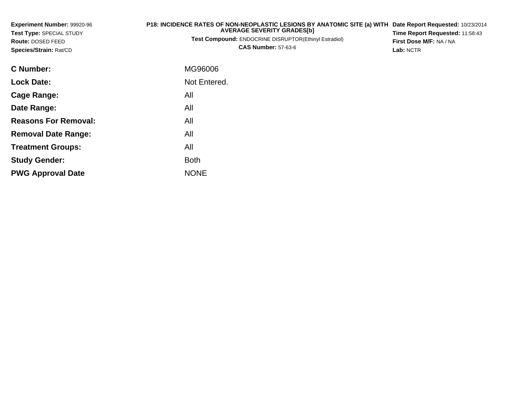| Experiment Number: 99920-96<br>Test Type: SPECIAL STUDY | P18: INCIDENCE RATES OF NON-NEOPLASTIC LESIONS BY ANATOMIC SITE (a) WITH<br><b>AVERAGE SEVERITY GRADES[b]</b> | Date Report Requested: 10/23/2014<br>Time Report Requested: 11:58:43 |
|---------------------------------------------------------|---------------------------------------------------------------------------------------------------------------|----------------------------------------------------------------------|
| Route: DOSED FEED<br>Species/Strain: Rat/CD             | Test Compound: ENDOCRINE DISRUPTOR(Ethinyl Estradiol)<br><b>CAS Number: 57-63-6</b>                           | First Dose M/F: NA / NA<br>Lab: NCTR                                 |
| <b>C</b> Number:                                        | MG96006                                                                                                       |                                                                      |
| <b>Lock Date:</b>                                       | Not Entered.                                                                                                  |                                                                      |
| Cage Range:                                             | All                                                                                                           |                                                                      |
| Date Range:                                             | All                                                                                                           |                                                                      |
| <b>Reasons For Removal:</b>                             | All                                                                                                           |                                                                      |
| <b>Removal Date Range:</b>                              | All                                                                                                           |                                                                      |
| <b>Treatment Groups:</b>                                | All                                                                                                           |                                                                      |

Both

e NONE

**Study Gender:**

**PWG Approval Date**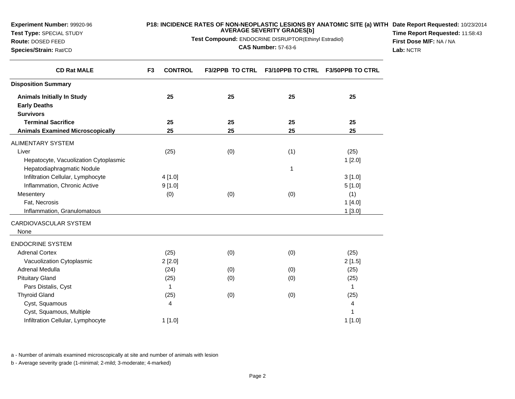**Experiment Number:** 99920-96**Test Type:** SPECIAL STUDY

## **Route:** DOSED FEED

**Species/Strain:** Rat/CD

#### **P18: INCIDENCE RATES OF NON-NEOPLASTIC LESIONS BY ANATOMIC SITE (a) WITH AVERAGE SEVERITY GRADES[b] Date Report Requested:** 10/23/2014

**Test Compound:** ENDOCRINE DISRUPTOR(Ethinyl Estradiol)

**CAS Number:** 57-63-6

**Time Report Requested:** 11:58:43**First Dose M/F:** NA / NA**Lab:** NCTR

| <b>CD Rat MALE</b>                      | <b>CONTROL</b><br>F <sub>3</sub> | <b>F3/2PPB TO CTRL</b> | F3/10PPB TO CTRL F3/50PPB TO CTRL |             |
|-----------------------------------------|----------------------------------|------------------------|-----------------------------------|-------------|
| <b>Disposition Summary</b>              |                                  |                        |                                   |             |
| <b>Animals Initially In Study</b>       | 25                               | 25                     | 25                                | 25          |
| <b>Early Deaths</b>                     |                                  |                        |                                   |             |
| <b>Survivors</b>                        |                                  |                        |                                   |             |
| <b>Terminal Sacrifice</b>               | 25                               | 25                     | 25                                | 25          |
| <b>Animals Examined Microscopically</b> | 25                               | 25                     | 25                                | 25          |
| <b>ALIMENTARY SYSTEM</b>                |                                  |                        |                                   |             |
| Liver                                   | (25)                             | (0)                    | (1)                               | (25)        |
| Hepatocyte, Vacuolization Cytoplasmic   |                                  |                        |                                   | 1[2.0]      |
| Hepatodiaphragmatic Nodule              |                                  |                        | 1                                 |             |
| Infiltration Cellular, Lymphocyte       | 4[1.0]                           |                        |                                   | 3[1.0]      |
| Inflammation, Chronic Active            | 9[1.0]                           |                        |                                   | 5[1.0]      |
| Mesentery                               | (0)                              | (0)                    | (0)                               | (1)         |
| Fat, Necrosis                           |                                  |                        |                                   | 1[4.0]      |
| Inflammation, Granulomatous             |                                  |                        |                                   | 1[3.0]      |
| CARDIOVASCULAR SYSTEM                   |                                  |                        |                                   |             |
| None                                    |                                  |                        |                                   |             |
| <b>ENDOCRINE SYSTEM</b>                 |                                  |                        |                                   |             |
| <b>Adrenal Cortex</b>                   | (25)                             | (0)                    | (0)                               | (25)        |
| Vacuolization Cytoplasmic               | 2[2.0]                           |                        |                                   | 2[1.5]      |
| Adrenal Medulla                         | (24)                             | (0)                    | (0)                               | (25)        |
| <b>Pituitary Gland</b>                  | (25)                             | (0)                    | (0)                               | (25)        |
| Pars Distalis, Cyst                     | 1                                |                        |                                   | $\mathbf 1$ |
| <b>Thyroid Gland</b>                    | (25)                             | (0)                    | (0)                               | (25)        |
| Cyst, Squamous                          | 4                                |                        |                                   | 4           |
| Cyst, Squamous, Multiple                |                                  |                        |                                   | 1           |
| Infiltration Cellular, Lymphocyte       | 1[1.0]                           |                        |                                   | 1[1.0]      |

a - Number of animals examined microscopically at site and number of animals with lesion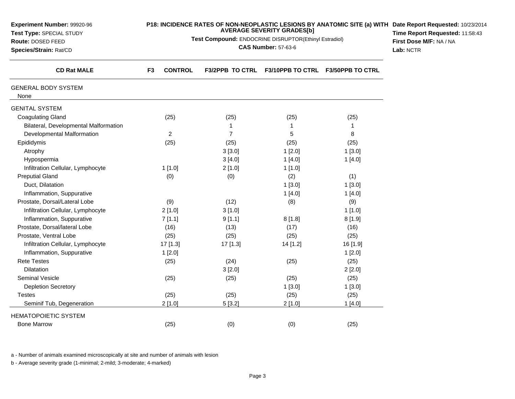| Experiment Number: 99920-96<br>Test Type: SPECIAL STUDY |                      | P18: INCIDENCE RATES OF NON-NEOPLASTIC LESIONS BY ANATOMIC SITE (a) WITH Date Report Requested: 10/23/2014<br>Time Report Requested: 11:58:43<br>First Dose M/F: NA / NA |                                  |                         |  |
|---------------------------------------------------------|----------------------|--------------------------------------------------------------------------------------------------------------------------------------------------------------------------|----------------------------------|-------------------------|--|
| Route: DOSED FEED<br>Species/Strain: Rat/CD             |                      | Test Compound: ENDOCRINE DISRUPTOR(Ethinyl Estradiol)<br><b>CAS Number: 57-63-6</b><br>Lab: NCTR                                                                         |                                  |                         |  |
| <b>CD Rat MALE</b>                                      | <b>CONTROL</b><br>F3 |                                                                                                                                                                          | F3/2PPB TO CTRL F3/10PPB TO CTRL | <b>F3/50PPB TO CTRL</b> |  |
| <b>GENERAL BODY SYSTEM</b><br>None                      |                      |                                                                                                                                                                          |                                  |                         |  |
| <b>GENITAL SYSTEM</b>                                   |                      |                                                                                                                                                                          |                                  |                         |  |
| <b>Coagulating Gland</b>                                | (25)                 | (25)                                                                                                                                                                     | (25)                             | (25)                    |  |
| Bilateral, Developmental Malformation                   |                      | 1                                                                                                                                                                        | $\mathbf{1}$                     | 1                       |  |
| Developmental Malformation                              | $\overline{2}$       | $\overline{7}$                                                                                                                                                           | 5                                | 8                       |  |
| Epididymis                                              | (25)                 | (25)                                                                                                                                                                     | (25)                             | (25)                    |  |
| Atrophy                                                 |                      | 3[3.0]                                                                                                                                                                   | 1[2.0]                           | 1[3.0]                  |  |
| Hypospermia                                             |                      | 3[4.0]                                                                                                                                                                   | 1[4.0]                           | 1[4.0]                  |  |
| Infiltration Cellular, Lymphocyte                       | 1[1.0]               | 2[1.0]                                                                                                                                                                   | 1[1.0]                           |                         |  |
| <b>Preputial Gland</b>                                  | (0)                  | (0)                                                                                                                                                                      | (2)                              | (1)                     |  |
| Duct, Dilatation                                        |                      |                                                                                                                                                                          | 1[3.0]                           | 1[3.0]                  |  |
| Inflammation, Suppurative                               |                      |                                                                                                                                                                          | 1[4.0]                           | 1[4.0]                  |  |
| Prostate, Dorsal/Lateral Lobe                           | (9)                  | (12)                                                                                                                                                                     | (8)                              | (9)                     |  |
| Infiltration Cellular, Lymphocyte                       | 2[1.0]               | 3[1.0]                                                                                                                                                                   |                                  | 1[1.0]                  |  |
| Inflammation, Suppurative                               | 7[1.1]               | 9[1.1]                                                                                                                                                                   | 8[1.8]                           | 8[1.9]                  |  |
| Prostate, Dorsal/lateral Lobe                           | (16)                 | (13)                                                                                                                                                                     | (17)                             | (16)                    |  |
| Prostate, Ventral Lobe                                  | (25)                 | (25)                                                                                                                                                                     | (25)                             | (25)                    |  |
| Infiltration Cellular, Lymphocyte                       | 17 [1.3]             | 17 [1.3]                                                                                                                                                                 | 14 [1.2]                         | 16 [1.9]                |  |
| Inflammation, Suppurative                               | 1[2.0]               |                                                                                                                                                                          |                                  | 1[2.0]                  |  |
| <b>Rete Testes</b>                                      | (25)                 | (24)                                                                                                                                                                     | (25)                             | (25)                    |  |
| <b>Dilatation</b>                                       |                      | 3[2.0]                                                                                                                                                                   |                                  | 2[2.0]                  |  |
| <b>Seminal Vesicle</b>                                  | (25)                 | (25)                                                                                                                                                                     | (25)                             | (25)                    |  |
| <b>Depletion Secretory</b>                              |                      |                                                                                                                                                                          | 1[3.0]                           | 1[3.0]                  |  |
| <b>Testes</b>                                           | (25)                 | (25)                                                                                                                                                                     | (25)                             | (25)                    |  |
| Seminif Tub, Degeneration                               | 2[1.0]               | 5[3.2]                                                                                                                                                                   | 2[1.0]                           | 1[4.0]                  |  |
| <b>HEMATOPOIETIC SYSTEM</b>                             |                      |                                                                                                                                                                          |                                  |                         |  |
| <b>Bone Marrow</b>                                      | (25)                 | (0)                                                                                                                                                                      | (0)                              | (25)                    |  |

a - Number of animals examined microscopically at site and number of animals with lesion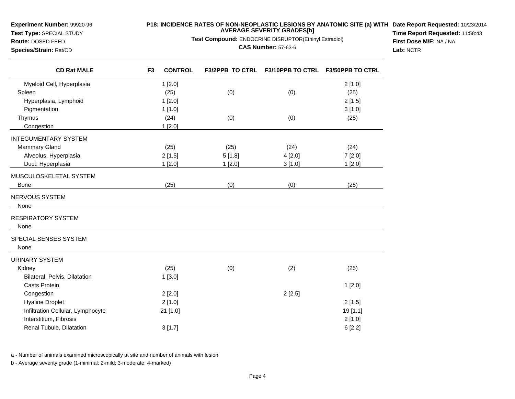**Experiment Number:** 99920-96

**Test Type:** SPECIAL STUDY**Route:** DOSED FEED

**Species/Strain:** Rat/CD

### **P18: INCIDENCE RATES OF NON-NEOPLASTIC LESIONS BY ANATOMIC SITE (a) WITH AVERAGE SEVERITY GRADES[b] Date Report Requested:** 10/23/2014

**Test Compound:** ENDOCRINE DISRUPTOR(Ethinyl Estradiol)

**CAS Number:** 57-63-6

**Time Report Requested:** 11:58:43**First Dose M/F:** NA / NA**Lab:** NCTR

| <b>CD Rat MALE</b>                | F <sub>3</sub><br><b>CONTROL</b> | <b>F3/2PPB TO CTRL</b> | F3/10PPB TO CTRL F3/50PPB TO CTRL |          |
|-----------------------------------|----------------------------------|------------------------|-----------------------------------|----------|
| Myeloid Cell, Hyperplasia         | 1[2.0]                           |                        |                                   | 2[1.0]   |
| Spleen                            | (25)                             | (0)                    | (0)                               | (25)     |
| Hyperplasia, Lymphoid             | 1[2.0]                           |                        |                                   | 2[1.5]   |
| Pigmentation                      | 1[1.0]                           |                        |                                   | 3[1.0]   |
| Thymus                            | (24)                             | (0)                    | (0)                               | (25)     |
| Congestion                        | 1[2.0]                           |                        |                                   |          |
| <b>INTEGUMENTARY SYSTEM</b>       |                                  |                        |                                   |          |
| <b>Mammary Gland</b>              | (25)                             | (25)                   | (24)                              | (24)     |
| Alveolus, Hyperplasia             | 2[1.5]                           | 5[1.8]                 | 4[2.0]                            | 7[2.0]   |
| Duct, Hyperplasia                 | 1 [2.0]                          | 1 [2.0]                | 3[1.0]                            | 1 [2.0]  |
| MUSCULOSKELETAL SYSTEM            |                                  |                        |                                   |          |
| Bone                              | (25)                             | (0)                    | (0)                               | (25)     |
| NERVOUS SYSTEM                    |                                  |                        |                                   |          |
| None                              |                                  |                        |                                   |          |
| RESPIRATORY SYSTEM                |                                  |                        |                                   |          |
| None                              |                                  |                        |                                   |          |
| SPECIAL SENSES SYSTEM             |                                  |                        |                                   |          |
| None                              |                                  |                        |                                   |          |
| URINARY SYSTEM                    |                                  |                        |                                   |          |
| Kidney                            | (25)                             | (0)                    | (2)                               | (25)     |
| Bilateral, Pelvis, Dilatation     | 1[3.0]                           |                        |                                   |          |
| <b>Casts Protein</b>              |                                  |                        |                                   | 1[2.0]   |
| Congestion                        | 2[2.0]                           |                        | 2[2.5]                            |          |
| <b>Hyaline Droplet</b>            | 2[1.0]                           |                        |                                   | 2[1.5]   |
| Infiltration Cellular, Lymphocyte | 21 [1.0]                         |                        |                                   | 19 [1.1] |
| Interstitium, Fibrosis            |                                  |                        |                                   | 2[1.0]   |
| Renal Tubule, Dilatation          | 3[1.7]                           |                        |                                   | 6[2.2]   |
|                                   |                                  |                        |                                   |          |

a - Number of animals examined microscopically at site and number of animals with lesion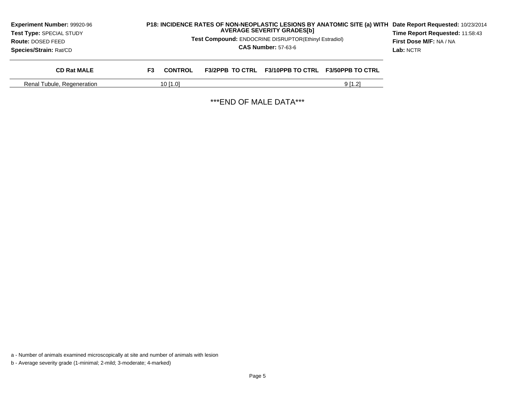| Experiment Number: 99920-96<br>Test Type: SPECIAL STUDY<br><b>Route: DOSED FEED</b><br>Species/Strain: Rat/CD |     |                |                         | <b>AVERAGE SEVERITY GRADES[b]</b><br><b>Test Compound: ENDOCRINE DISRUPTOR(Ethinyl Estradiol)</b><br><b>CAS Number: 57-63-6</b> | P18: INCIDENCE RATES OF NON-NEOPLASTIC LESIONS BY ANATOMIC SITE (a) WITH | Date Report Requested: 10/23/2014<br>Time Report Requested: 11:58:43<br>First Dose M/F: NA / NA<br>Lab: NCTR |
|---------------------------------------------------------------------------------------------------------------|-----|----------------|-------------------------|---------------------------------------------------------------------------------------------------------------------------------|--------------------------------------------------------------------------|--------------------------------------------------------------------------------------------------------------|
| <b>CD Rat MALE</b>                                                                                            | F3. | <b>CONTROL</b> | <b>F3/2PPB TO CTRL</b>  |                                                                                                                                 | F3/10PPB TO CTRL F3/50PPB TO CTRL                                        |                                                                                                              |
| Renal Tubule, Regeneration                                                                                    |     | $10$ [1.0]     |                         |                                                                                                                                 | 9[1.2]                                                                   |                                                                                                              |
|                                                                                                               |     |                | *** END OF MALE DATA*** |                                                                                                                                 |                                                                          |                                                                                                              |

a - Number of animals examined microscopically at site and number of animals with lesion

b - Average severity grade (1-minimal; 2-mild; 3-moderate; 4-marked)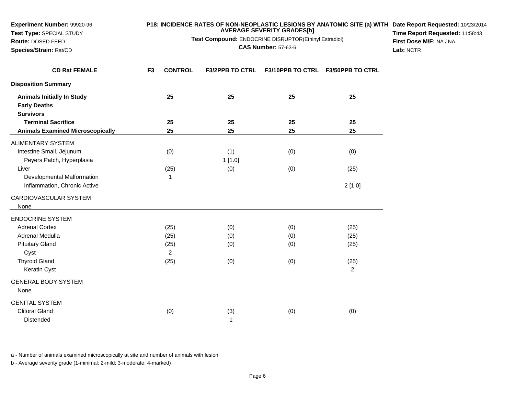| Route: DOSED FEED<br>Species/Strain: Rat/CD | <b>Test Compound:</b> ENDOCRINE DISRUPTOR(Ethinyl Estradiol)<br><b>CAS Number: 57-63-6</b> |                        |     |                                   | First Dose M/F: NA / NA<br>Lab: NCTR |
|---------------------------------------------|--------------------------------------------------------------------------------------------|------------------------|-----|-----------------------------------|--------------------------------------|
| <b>CD Rat FEMALE</b>                        | <b>CONTROL</b><br>F <sub>3</sub>                                                           | <b>F3/2PPB TO CTRL</b> |     | F3/10PPB TO CTRL F3/50PPB TO CTRL |                                      |
| <b>Disposition Summary</b>                  |                                                                                            |                        |     |                                   |                                      |
| <b>Animals Initially In Study</b>           | 25                                                                                         | 25                     | 25  | 25                                |                                      |
| <b>Early Deaths</b>                         |                                                                                            |                        |     |                                   |                                      |
| <b>Survivors</b>                            |                                                                                            |                        |     |                                   |                                      |
| <b>Terminal Sacrifice</b>                   | 25                                                                                         | 25                     | 25  | 25                                |                                      |
| <b>Animals Examined Microscopically</b>     | 25                                                                                         | 25                     | 25  | 25                                |                                      |
| ALIMENTARY SYSTEM                           |                                                                                            |                        |     |                                   |                                      |
| Intestine Small, Jejunum                    | (0)                                                                                        | (1)                    | (0) | (0)                               |                                      |
| Peyers Patch, Hyperplasia                   |                                                                                            | 1[1.0]                 |     |                                   |                                      |
| Liver                                       | (25)                                                                                       | (0)                    | (0) | (25)                              |                                      |
| Developmental Malformation                  | 1                                                                                          |                        |     |                                   |                                      |
| Inflammation, Chronic Active                |                                                                                            |                        |     | 2[1.0]                            |                                      |
| CARDIOVASCULAR SYSTEM                       |                                                                                            |                        |     |                                   |                                      |
| None                                        |                                                                                            |                        |     |                                   |                                      |
| <b>ENDOCRINE SYSTEM</b>                     |                                                                                            |                        |     |                                   |                                      |
| <b>Adrenal Cortex</b>                       | (25)                                                                                       | (0)                    | (0) | (25)                              |                                      |
| Adrenal Medulla                             | (25)                                                                                       | (0)                    | (0) | (25)                              |                                      |
| <b>Pituitary Gland</b>                      | (25)                                                                                       | (0)                    | (0) | (25)                              |                                      |
| Cyst                                        | 2                                                                                          |                        |     |                                   |                                      |
| <b>Thyroid Gland</b>                        | (25)                                                                                       | (0)                    | (0) | (25)                              |                                      |
| Keratin Cyst                                |                                                                                            |                        |     | $\overline{2}$                    |                                      |
| <b>GENERAL BODY SYSTEM</b>                  |                                                                                            |                        |     |                                   |                                      |
| None                                        |                                                                                            |                        |     |                                   |                                      |
| <b>GENITAL SYSTEM</b>                       |                                                                                            |                        |     |                                   |                                      |
| <b>Clitoral Gland</b>                       | (0)                                                                                        | (3)                    | (0) | (0)                               |                                      |
| Distended                                   |                                                                                            | 1                      |     |                                   |                                      |

**P18: INCIDENCE RATES OF NON-NEOPLASTIC LESIONS BY ANATOMIC SITE (a) WITH AVERAGE SEVERITY GRADES[b] Test Compound:** ENDOCRINE DISRUPTOR(Ethinyl Estradiol)

**Date Report Requested:** 10/23/2014 **Time Report Requested:** 11:58:43

a - Number of animals examined microscopically at site and number of animals with lesion

b - Average severity grade (1-minimal; 2-mild; 3-moderate; 4-marked)

**Experiment Number:** 99920-96**Test Type:** SPECIAL STUDY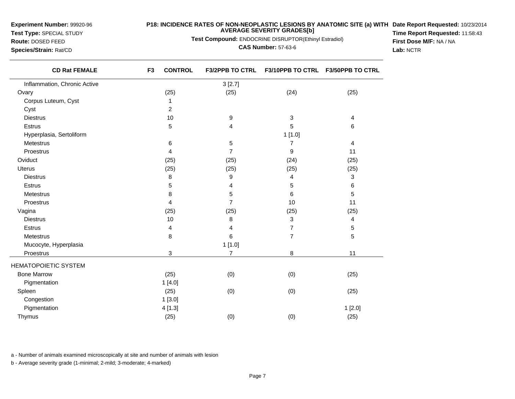**Experiment Number:** 99920-96**Test Type:** SPECIAL STUDY

# **Route:** DOSED FEED

**Species/Strain:** Rat/CD

 $\overline{\phantom{0}}$ 

### **P18: INCIDENCE RATES OF NON-NEOPLASTIC LESIONS BY ANATOMIC SITE (a) WITH AVERAGE SEVERITY GRADES[b] Date Report Requested:** 10/23/2014

**Test Compound:** ENDOCRINE DISRUPTOR(Ethinyl Estradiol)

**CAS Number:** 57-63-6

**Time Report Requested:** 11:58:43**First Dose M/F:** NA / NA**Lab:** NCTR

| <b>CD Rat FEMALE</b>         | <b>CONTROL</b><br>F <sub>3</sub> | <b>F3/2PPB TO CTRL</b> |                | F3/10PPB TO CTRL F3/50PPB TO CTRL |
|------------------------------|----------------------------------|------------------------|----------------|-----------------------------------|
| Inflammation, Chronic Active |                                  | 3[2.7]                 |                |                                   |
| Ovary                        | (25)                             | (25)                   | (24)           | (25)                              |
| Corpus Luteum, Cyst          | 1                                |                        |                |                                   |
| Cyst                         | $\overline{c}$                   |                        |                |                                   |
| <b>Diestrus</b>              | 10                               | 9                      | 3              | 4                                 |
| Estrus                       | 5                                | 4                      | 5              | 6                                 |
| Hyperplasia, Sertoliform     |                                  |                        | 1[1.0]         |                                   |
| Metestrus                    | 6                                | 5                      | 7              | 4                                 |
| Proestrus                    | 4                                | $\overline{7}$         | 9              | 11                                |
| Oviduct                      | (25)                             | (25)                   | (24)           | (25)                              |
| <b>Uterus</b>                | (25)                             | (25)                   | (25)           | (25)                              |
| <b>Diestrus</b>              | 8                                | 9                      | 4              | 3                                 |
| <b>Estrus</b>                | 5                                | 4                      | 5              | 6                                 |
| <b>Metestrus</b>             | 8                                | 5                      | 6              | 5                                 |
| Proestrus                    | 4                                | $\overline{7}$         | 10             | 11                                |
| Vagina                       | (25)                             | (25)                   | (25)           | (25)                              |
| <b>Diestrus</b>              | 10                               | 8                      | 3              | 4                                 |
| Estrus                       | 4                                | 4                      | $\overline{7}$ | 5                                 |
| Metestrus                    | 8                                | 6                      | 7              | 5                                 |
| Mucocyte, Hyperplasia        |                                  | 1[1.0]                 |                |                                   |
| Proestrus                    | 3                                | $\overline{7}$         | 8              | 11                                |
| <b>HEMATOPOIETIC SYSTEM</b>  |                                  |                        |                |                                   |
| <b>Bone Marrow</b>           | (25)                             | (0)                    | (0)            | (25)                              |
| Pigmentation                 | 1[4.0]                           |                        |                |                                   |
| Spleen                       | (25)                             | (0)                    | (0)            | (25)                              |
| Congestion                   | 1[3.0]                           |                        |                |                                   |
| Pigmentation                 | 4[1.3]                           |                        |                | 1[2.0]                            |
| Thymus                       | (25)                             | (0)                    | (0)            | (25)                              |
|                              |                                  |                        |                |                                   |

a - Number of animals examined microscopically at site and number of animals with lesion